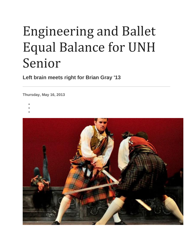## Engineering and Ballet Equal Balance for UNH Senior

**Left brain meets right for Brian Gray '13**

**Thursday, May 16, 2013**

- •
- •
- •

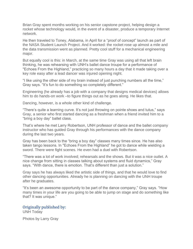Brian Gray spent months working on his senior capstone project, helping design a rocket whose technology would, in the event of a disaster, produce a temporary Internet network.

He then traveled to Toney, Alabama, in April for a "proof of concept" launch as part of the NASA Student Launch Project. And it worked: the rocket rose up almost a mile and the data transmission went as planned. Pretty cool stuff for a mechanical engineering major.

But equally cool is this: in March, at the same time Gray was using all that left brain thinking, he was rehearsing with UNH's ballet dance troupe for a performance of "Echoes From the Highland," practicing so many hours a day that it made taking over a key role easy after a lead dancer was injured opening night.

"I like using the other side of my brain instead of just punching numbers all the time," Gray says. "It's fun to do something so completely different."

Engineering (he already has a job with a company that designs medical devices) allows him to do hands-on work –to figure things out as he goes along. He likes that.

Dancing, however, is a whole other kind of challenge.

"There's quite a learning curve. It's not just throwing on pointe shoes and tutus," says Gray, a senior who first started dancing as a freshman when a friend invited him to a "bring a boy day" ballet class.

That's where he met Larry Robertson, UNH professor of dance and the ballet company instructor who has guided Gray through his performances with the dance company during the last two years.

Gray has been back to the "bring a boy day" classes many times since. He has also taken tango lessons. In "Echoes From the Highland" he got to dance while wielding a sword. There were fight scenes. He even had a duel with Robertson.

"There was a lot of work involved; rehearsals and the shows. But it was a nice outlet. A nice change from sitting in classes talking about systems and fluid dynamics," Gray says. "With dance, there is emotion. That's different than just a solution."

Gray says he has always liked the artistic side of things, and that he would love to find other dancing opportunities. Already he is planning on dancing with the UNH troupe after he graduates.

"It's been an awesome opportunity to be part of the dance company," Gray says. "How many times in your life are you going to be able to jump on stage and do something like that? It was unique."

Originally published by: UNH Today

Photos by Larry Gray